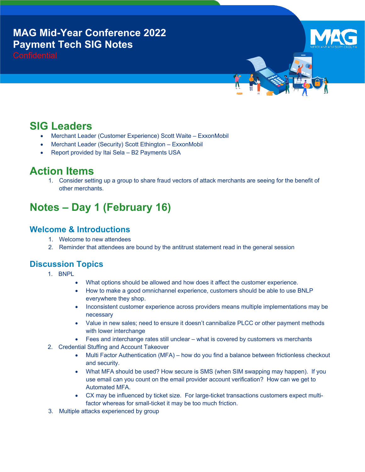# **MAG Mid-Year Conference 2022 Payment Tech SIG Notes**

## **SIG Leaders**

- Merchant Leader (Customer Experience) Scott Waite ExxonMobil
- Merchant Leader (Security) Scott Ethington ExxonMobil
- Report provided by Itai Sela B2 Payments USA

## **Action Items**

1. Consider setting up a group to share fraud vectors of attack merchants are seeing for the benefit of other merchants.

# **Notes – Day 1 (February 16)**

### **Welcome & Introductions**

- 1. Welcome to new attendees
- 2. Reminder that attendees are bound by the antitrust statement read in the general session

#### **Discussion Topics**

- 1. BNPL
	- What options should be allowed and how does it affect the customer experience.
	- How to make a good omnichannel experience, customers should be able to use BNLP everywhere they shop.
	- Inconsistent customer experience across providers means multiple implementations may be necessary
	- Value in new sales; need to ensure it doesn't cannibalize PLCC or other payment methods with lower interchange
	- Fees and interchange rates still unclear what is covered by customers vs merchants
- 2. Credential Stuffing and Account Takeover
	- Multi Factor Authentication (MFA) how do you find a balance between frictionless checkout and security.
	- What MFA should be used? How secure is SMS (when SIM swapping may happen). If you use email can you count on the email provider account verification? How can we get to Automated MFA.
	- CX may be influenced by ticket size. For large-ticket transactions customers expect multifactor whereas for small-ticket it may be too much friction.
- 3. Multiple attacks experienced by group